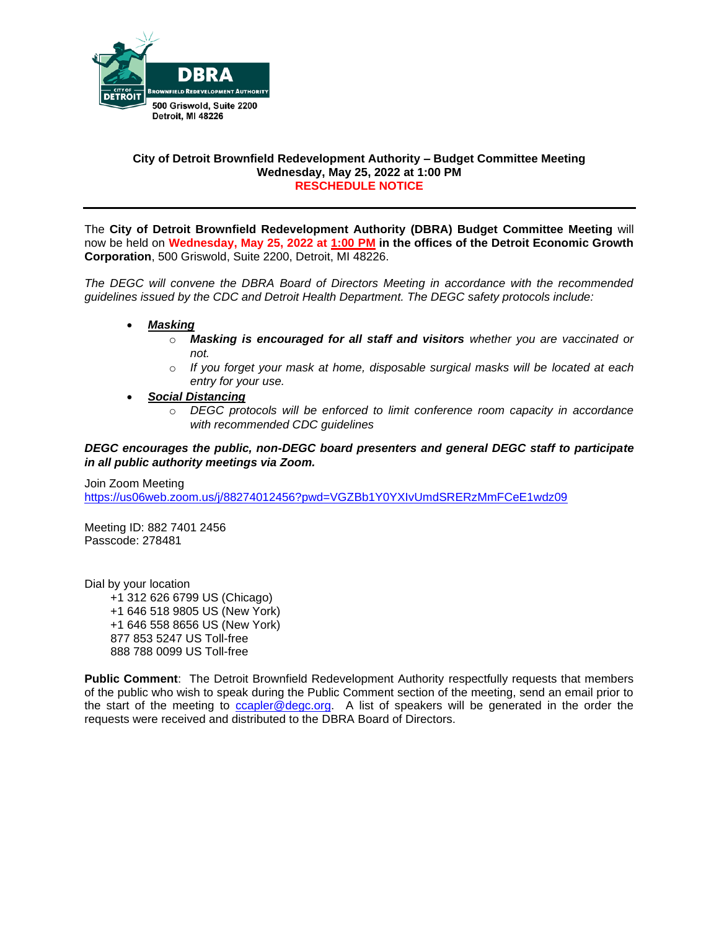

### **City of Detroit Brownfield Redevelopment Authority – Budget Committee Meeting Wednesday, May 25, 2022 at 1:00 PM RESCHEDULE NOTICE**

The **City of Detroit Brownfield Redevelopment Authority (DBRA) Budget Committee Meeting** will now be held on **Wednesday, May 25, 2022 at 1:00 PM in the offices of the Detroit Economic Growth Corporation**, 500 Griswold, Suite 2200, Detroit, MI 48226.

*The DEGC will convene the DBRA Board of Directors Meeting in accordance with the recommended guidelines issued by the CDC and Detroit Health Department. The DEGC safety protocols include:*

- *Masking*
	- o *Masking is encouraged for all staff and visitors whether you are vaccinated or not.*
	- o *If you forget your mask at home, disposable surgical masks will be located at each entry for your use.*
- *Social Distancing* 
	- o *DEGC protocols will be enforced to limit conference room capacity in accordance with recommended CDC guidelines*

### *DEGC encourages the public, non-DEGC board presenters and general DEGC staff to participate in all public authority meetings via Zoom.*

Join Zoom Meeting <https://us06web.zoom.us/j/88274012456?pwd=VGZBb1Y0YXIvUmdSRERzMmFCeE1wdz09>

Meeting ID: 882 7401 2456 Passcode: 278481

Dial by your location +1 312 626 6799 US (Chicago) +1 646 518 9805 US (New York) +1 646 558 8656 US (New York) 877 853 5247 US Toll-free 888 788 0099 US Toll-free

**Public Comment**: The Detroit Brownfield Redevelopment Authority respectfully requests that members of the public who wish to speak during the Public Comment section of the meeting, send an email prior to the start of the meeting to [ccapler@degc.org.](mailto:ccapler@degc.org) A list of speakers will be generated in the order the requests were received and distributed to the DBRA Board of Directors.